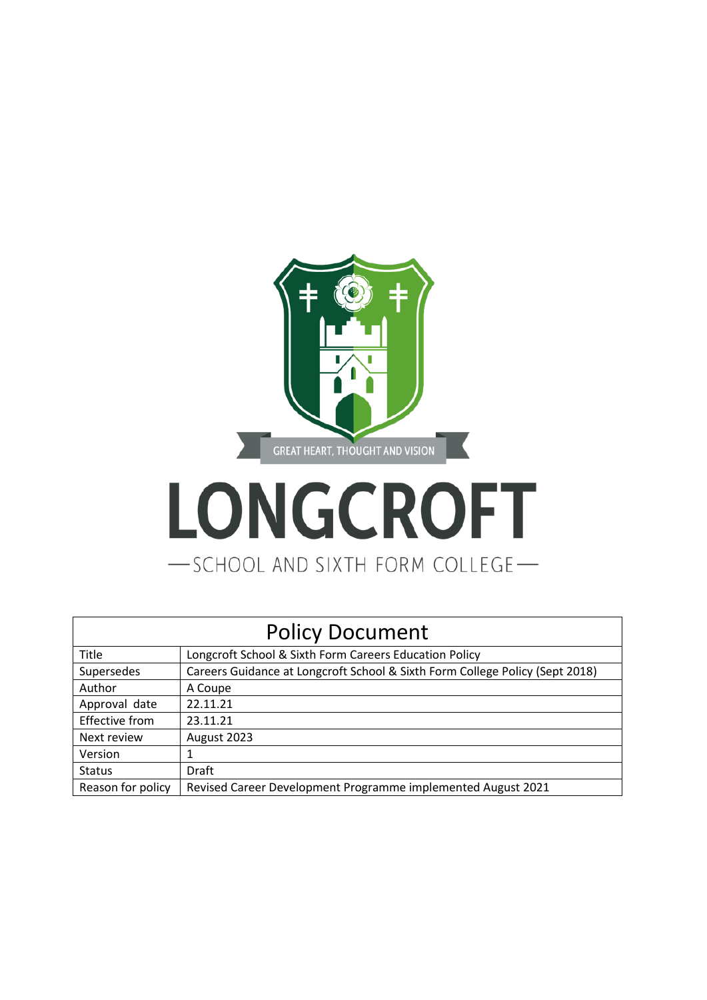

# LONGCROFT -SCHOOL AND SIXTH FORM COLLEGE-

| <b>Policy Document</b> |                                                                              |
|------------------------|------------------------------------------------------------------------------|
| Title                  | Longcroft School & Sixth Form Careers Education Policy                       |
| Supersedes             | Careers Guidance at Longcroft School & Sixth Form College Policy (Sept 2018) |
| Author                 | A Coupe                                                                      |
| Approval date          | 22.11.21                                                                     |
| <b>Effective from</b>  | 23.11.21                                                                     |
| Next review            | August 2023                                                                  |
| Version                |                                                                              |
| <b>Status</b>          | Draft                                                                        |
| Reason for policy      | Revised Career Development Programme implemented August 2021                 |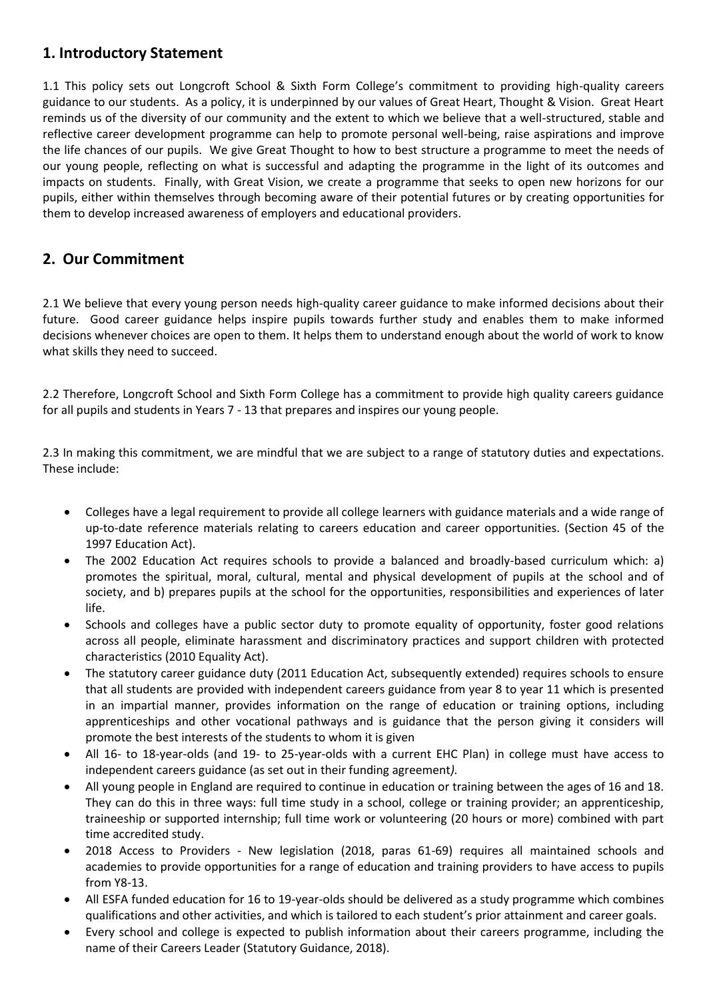### **1. Introductory Statement**

1.1 This policy sets out Longcroft School & Sixth Form College's commitment to providing high-quality careers guidance to our students. As a policy, it is underpinned by our values of Great Heart, Thought & Vision. Great Heart reminds us of the diversity of our community and the extent to which we believe that a well-structured, stable and reflective career development programme can help to promote personal well-being, raise aspirations and improve the life chances of our pupils. We give Great Thought to how to best structure a programme to meet the needs of our young people, reflecting on what is successful and adapting the programme in the light of its outcomes and impacts on students. Finally, with Great Vision, we create a programme that seeks to open new horizons for our pupils, either within themselves through becoming aware of their potential futures or by creating opportunities for them to develop increased awareness of employers and educational providers.

## **2. Our Commitment**

2.1 We believe that every young person needs high-quality career guidance to make informed decisions about their future. Good career guidance helps inspire pupils towards further study and enables them to make informed decisions whenever choices are open to them. It helps them to understand enough about the world of work to know what skills they need to succeed.

2.2 Therefore, Longcroft School and Sixth Form College has a commitment to provide high quality careers guidance for all pupils and students in Years 7 - 13 that prepares and inspires our young people.

2.3 In making this commitment, we are mindful that we are subject to a range of statutory duties and expectations. These include:

- Colleges have a legal requirement to provide all college learners with guidance materials and a wide range of up-to-date reference materials relating to careers education and career opportunities. (Section 45 of the 1997 Education Act).
- The 2002 Education Act requires schools to provide a balanced and broadly-based curriculum which: a) promotes the spiritual, moral, cultural, mental and physical development of pupils at the school and of society, and b) prepares pupils at the school for the opportunities, responsibilities and experiences of later life.
- Schools and colleges have a public sector duty to promote equality of opportunity, foster good relations across all people, eliminate harassment and discriminatory practices and support children with protected characteristics (2010 Equality Act).
- The statutory career guidance duty (2011 Education Act, subsequently extended) requires schools to ensure that all students are provided with independent careers guidance from year 8 to year 11 which is presented in an impartial manner, provides information on the range of education or training options, including apprenticeships and other vocational pathways and is guidance that the person giving it considers will promote the best interests of the students to whom it is given
- All 16- to 18-year-olds (and 19- to 25-year-olds with a current EHC Plan) in college must have access to independent careers guidance (as set out in their funding agreement*).*
- All young people in England are required to continue in education or training between the ages of 16 and 18. They can do this in three ways: full time study in a school, college or training provider; an apprenticeship, traineeship or supported internship; full time work or volunteering (20 hours or more) combined with part time accredited study.
- 2018 Access to Providers New legislation (2018, paras 61-69) requires all maintained schools and academies to provide opportunities for a range of education and training providers to have access to pupils from Y8-13.
- All ESFA funded education for 16 to 19-year-olds should be delivered as a study programme which combines qualifications and other activities, and which is tailored to each student's prior attainment and career goals.
- Every school and college is expected to publish information about their careers programme, including the name of their Careers Leader (Statutory Guidance, 2018).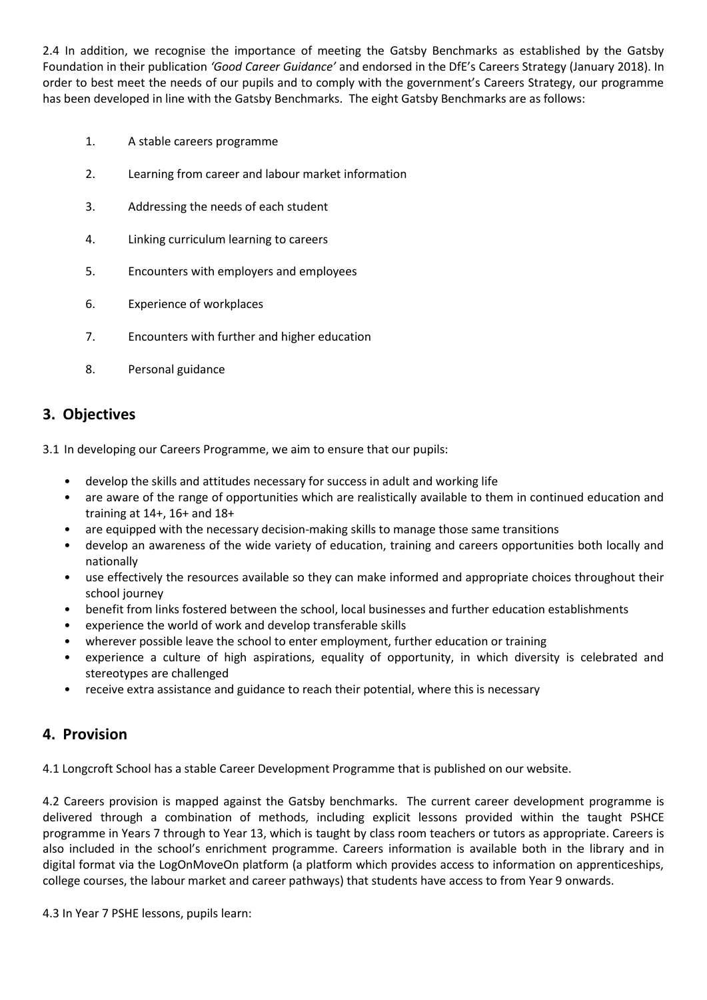2.4 In addition, we recognise the importance of meeting the Gatsby Benchmarks as established by the Gatsby Foundation in their publication *'Good Career Guidance'* and endorsed in the DfE's Careers Strategy (January 2018). In order to best meet the needs of our pupils and to comply with the government's Careers Strategy, our programme has been developed in line with the Gatsby Benchmarks. The eight Gatsby Benchmarks are as follows:

- 1. A stable careers programme
- 2. Learning from career and labour market information
- 3. Addressing the needs of each student
- 4. Linking curriculum learning to careers
- 5. Encounters with employers and employees
- 6. Experience of workplaces
- 7. Encounters with further and higher education
- 8. Personal guidance

### **3. Objectives**

3.1 In developing our Careers Programme, we aim to ensure that our pupils:

- develop the skills and attitudes necessary for success in adult and working life
- are aware of the range of opportunities which are realistically available to them in continued education and training at 14+, 16+ and 18+
- are equipped with the necessary decision-making skills to manage those same transitions
- develop an awareness of the wide variety of education, training and careers opportunities both locally and nationally
- use effectively the resources available so they can make informed and appropriate choices throughout their school journey
- benefit from links fostered between the school, local businesses and further education establishments
- experience the world of work and develop transferable skills
- wherever possible leave the school to enter employment, further education or training
- experience a culture of high aspirations, equality of opportunity, in which diversity is celebrated and stereotypes are challenged
- receive extra assistance and guidance to reach their potential, where this is necessary

#### **4. Provision**

4.1 Longcroft School has a stable Career Development Programme that is published on our website.

4.2 Careers provision is mapped against the Gatsby benchmarks. The current career development programme is delivered through a combination of methods, including explicit lessons provided within the taught PSHCE programme in Years 7 through to Year 13, which is taught by class room teachers or tutors as appropriate. Careers is also included in the school's enrichment programme. Careers information is available both in the library and in digital format via the LogOnMoveOn platform (a platform which provides access to information on apprenticeships, college courses, the labour market and career pathways) that students have access to from Year 9 onwards.

4.3 In Year 7 PSHE lessons, pupils learn: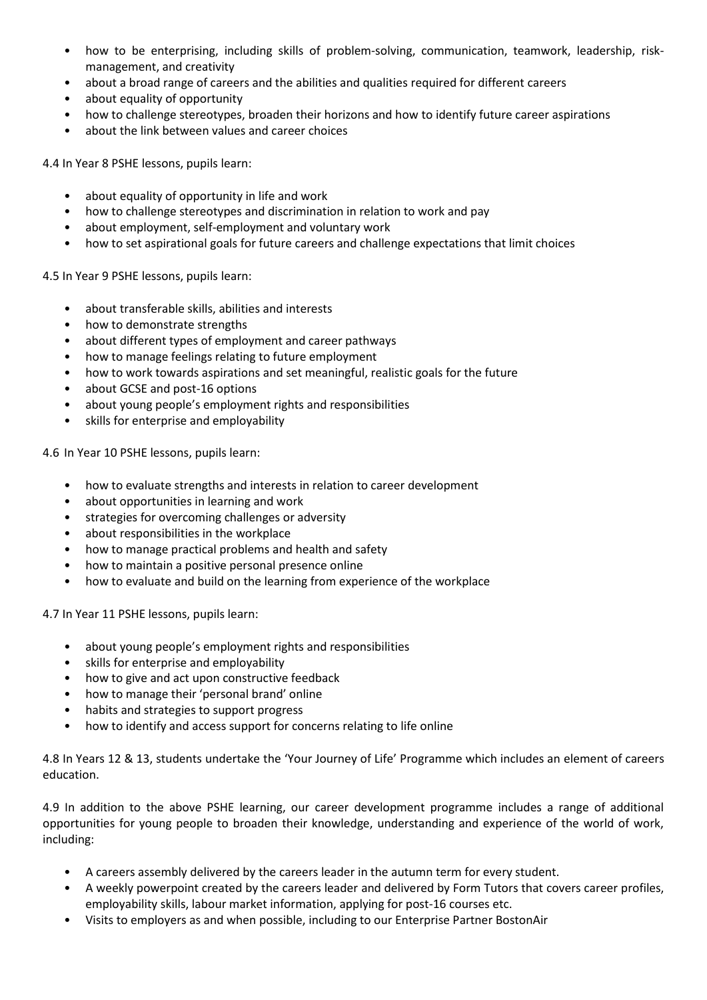- how to be enterprising, including skills of problem-solving, communication, teamwork, leadership, riskmanagement, and creativity
- about a broad range of careers and the abilities and qualities required for different careers
- about equality of opportunity
- how to challenge stereotypes, broaden their horizons and how to identify future career aspirations
- about the link between values and career choices

4.4 In Year 8 PSHE lessons, pupils learn:

- about equality of opportunity in life and work
- how to challenge stereotypes and discrimination in relation to work and pay
- about employment, self-employment and voluntary work
- how to set aspirational goals for future careers and challenge expectations that limit choices

4.5 In Year 9 PSHE lessons, pupils learn:

- about transferable skills, abilities and interests
- how to demonstrate strengths
- about different types of employment and career pathways
- how to manage feelings relating to future employment
- how to work towards aspirations and set meaningful, realistic goals for the future
- about GCSE and post-16 options
- about young people's employment rights and responsibilities
- skills for enterprise and employability

4.6 In Year 10 PSHE lessons, pupils learn:

- how to evaluate strengths and interests in relation to career development
- about opportunities in learning and work
- strategies for overcoming challenges or adversity
- about responsibilities in the workplace
- how to manage practical problems and health and safety
- how to maintain a positive personal presence online
- how to evaluate and build on the learning from experience of the workplace

4.7 In Year 11 PSHE lessons, pupils learn:

- about young people's employment rights and responsibilities
- skills for enterprise and employability
- how to give and act upon constructive feedback
- how to manage their 'personal brand' online
- habits and strategies to support progress
- how to identify and access support for concerns relating to life online

4.8 In Years 12 & 13, students undertake the 'Your Journey of Life' Programme which includes an element of careers education.

4.9 In addition to the above PSHE learning, our career development programme includes a range of additional opportunities for young people to broaden their knowledge, understanding and experience of the world of work, including:

- A careers assembly delivered by the careers leader in the autumn term for every student.
- A weekly powerpoint created by the careers leader and delivered by Form Tutors that covers career profiles, employability skills, labour market information, applying for post-16 courses etc.
- Visits to employers as and when possible, including to our Enterprise Partner BostonAir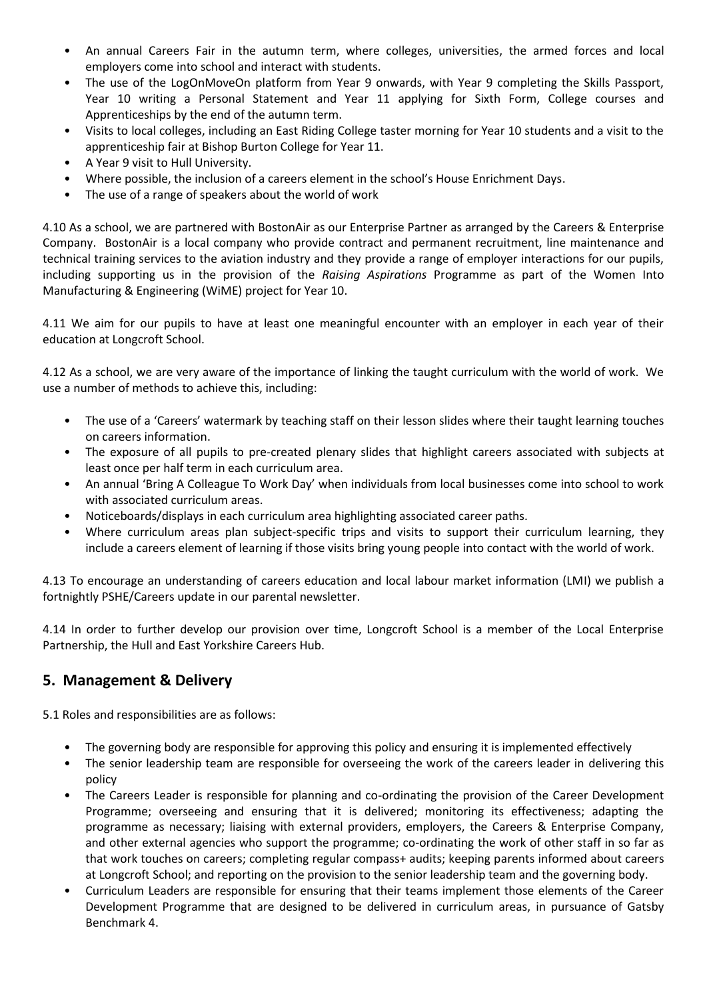- An annual Careers Fair in the autumn term, where colleges, universities, the armed forces and local employers come into school and interact with students.
- The use of the LogOnMoveOn platform from Year 9 onwards, with Year 9 completing the Skills Passport, Year 10 writing a Personal Statement and Year 11 applying for Sixth Form, College courses and Apprenticeships by the end of the autumn term.
- Visits to local colleges, including an East Riding College taster morning for Year 10 students and a visit to the apprenticeship fair at Bishop Burton College for Year 11.
- A Year 9 visit to Hull University.
- Where possible, the inclusion of a careers element in the school's House Enrichment Days.
- The use of a range of speakers about the world of work

4.10 As a school, we are partnered with BostonAir as our Enterprise Partner as arranged by the Careers & Enterprise Company. BostonAir is a local company who provide contract and permanent recruitment, line maintenance and technical training services to the aviation industry and they provide a range of employer interactions for our pupils, including supporting us in the provision of the *Raising Aspirations* Programme as part of the Women Into Manufacturing & Engineering (WiME) project for Year 10.

4.11 We aim for our pupils to have at least one meaningful encounter with an employer in each year of their education at Longcroft School.

4.12 As a school, we are very aware of the importance of linking the taught curriculum with the world of work. We use a number of methods to achieve this, including:

- The use of a 'Careers' watermark by teaching staff on their lesson slides where their taught learning touches on careers information.
- The exposure of all pupils to pre-created plenary slides that highlight careers associated with subjects at least once per half term in each curriculum area.
- An annual 'Bring A Colleague To Work Day' when individuals from local businesses come into school to work with associated curriculum areas.
- Noticeboards/displays in each curriculum area highlighting associated career paths.
- Where curriculum areas plan subject-specific trips and visits to support their curriculum learning, they include a careers element of learning if those visits bring young people into contact with the world of work.

4.13 To encourage an understanding of careers education and local labour market information (LMI) we publish a fortnightly PSHE/Careers update in our parental newsletter.

4.14 In order to further develop our provision over time, Longcroft School is a member of the Local Enterprise Partnership, the Hull and East Yorkshire Careers Hub.

#### **5. Management & Delivery**

5.1 Roles and responsibilities are as follows:

- The governing body are responsible for approving this policy and ensuring it is implemented effectively
- The senior leadership team are responsible for overseeing the work of the careers leader in delivering this policy
- The Careers Leader is responsible for planning and co-ordinating the provision of the Career Development Programme; overseeing and ensuring that it is delivered; monitoring its effectiveness; adapting the programme as necessary; liaising with external providers, employers, the Careers & Enterprise Company, and other external agencies who support the programme; co-ordinating the work of other staff in so far as that work touches on careers; completing regular compass+ audits; keeping parents informed about careers at Longcroft School; and reporting on the provision to the senior leadership team and the governing body.
- Curriculum Leaders are responsible for ensuring that their teams implement those elements of the Career Development Programme that are designed to be delivered in curriculum areas, in pursuance of Gatsby Benchmark 4.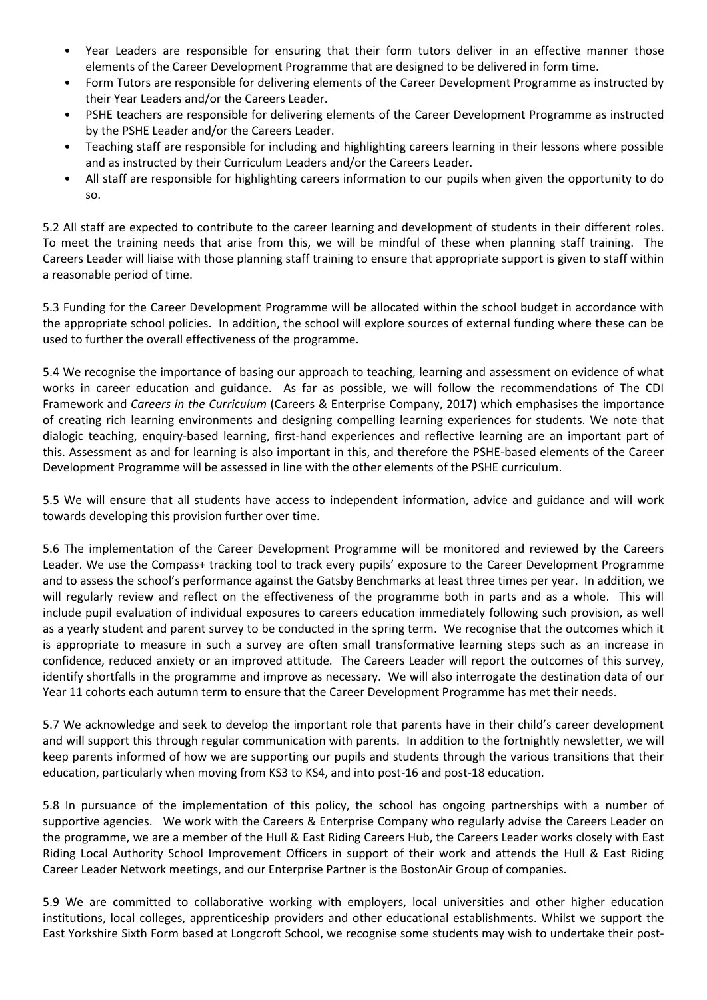- Year Leaders are responsible for ensuring that their form tutors deliver in an effective manner those elements of the Career Development Programme that are designed to be delivered in form time.
- Form Tutors are responsible for delivering elements of the Career Development Programme as instructed by their Year Leaders and/or the Careers Leader.
- PSHE teachers are responsible for delivering elements of the Career Development Programme as instructed by the PSHE Leader and/or the Careers Leader.
- Teaching staff are responsible for including and highlighting careers learning in their lessons where possible and as instructed by their Curriculum Leaders and/or the Careers Leader.
- All staff are responsible for highlighting careers information to our pupils when given the opportunity to do so.

5.2 All staff are expected to contribute to the career learning and development of students in their different roles. To meet the training needs that arise from this, we will be mindful of these when planning staff training. The Careers Leader will liaise with those planning staff training to ensure that appropriate support is given to staff within a reasonable period of time.

5.3 Funding for the Career Development Programme will be allocated within the school budget in accordance with the appropriate school policies. In addition, the school will explore sources of external funding where these can be used to further the overall effectiveness of the programme.

5.4 We recognise the importance of basing our approach to teaching, learning and assessment on evidence of what works in career education and guidance. As far as possible, we will follow the recommendations of The CDI Framework and *Careers in the Curriculum* (Careers & Enterprise Company, 2017) which emphasises the importance of creating rich learning environments and designing compelling learning experiences for students. We note that dialogic teaching, enquiry-based learning, first-hand experiences and reflective learning are an important part of this. Assessment as and for learning is also important in this, and therefore the PSHE-based elements of the Career Development Programme will be assessed in line with the other elements of the PSHE curriculum.

5.5 We will ensure that all students have access to independent information, advice and guidance and will work towards developing this provision further over time.

5.6 The implementation of the Career Development Programme will be monitored and reviewed by the Careers Leader. We use the Compass+ tracking tool to track every pupils' exposure to the Career Development Programme and to assess the school's performance against the Gatsby Benchmarks at least three times per year. In addition, we will regularly review and reflect on the effectiveness of the programme both in parts and as a whole. This will include pupil evaluation of individual exposures to careers education immediately following such provision, as well as a yearly student and parent survey to be conducted in the spring term. We recognise that the outcomes which it is appropriate to measure in such a survey are often small transformative learning steps such as an increase in confidence, reduced anxiety or an improved attitude. The Careers Leader will report the outcomes of this survey, identify shortfalls in the programme and improve as necessary. We will also interrogate the destination data of our Year 11 cohorts each autumn term to ensure that the Career Development Programme has met their needs.

5.7 We acknowledge and seek to develop the important role that parents have in their child's career development and will support this through regular communication with parents. In addition to the fortnightly newsletter, we will keep parents informed of how we are supporting our pupils and students through the various transitions that their education, particularly when moving from KS3 to KS4, and into post-16 and post-18 education.

5.8 In pursuance of the implementation of this policy, the school has ongoing partnerships with a number of supportive agencies. We work with the Careers & Enterprise Company who regularly advise the Careers Leader on the programme, we are a member of the Hull & East Riding Careers Hub, the Careers Leader works closely with East Riding Local Authority School Improvement Officers in support of their work and attends the Hull & East Riding Career Leader Network meetings, and our Enterprise Partner is the BostonAir Group of companies.

5.9 We are committed to collaborative working with employers, local universities and other higher education institutions, local colleges, apprenticeship providers and other educational establishments. Whilst we support the East Yorkshire Sixth Form based at Longcroft School, we recognise some students may wish to undertake their post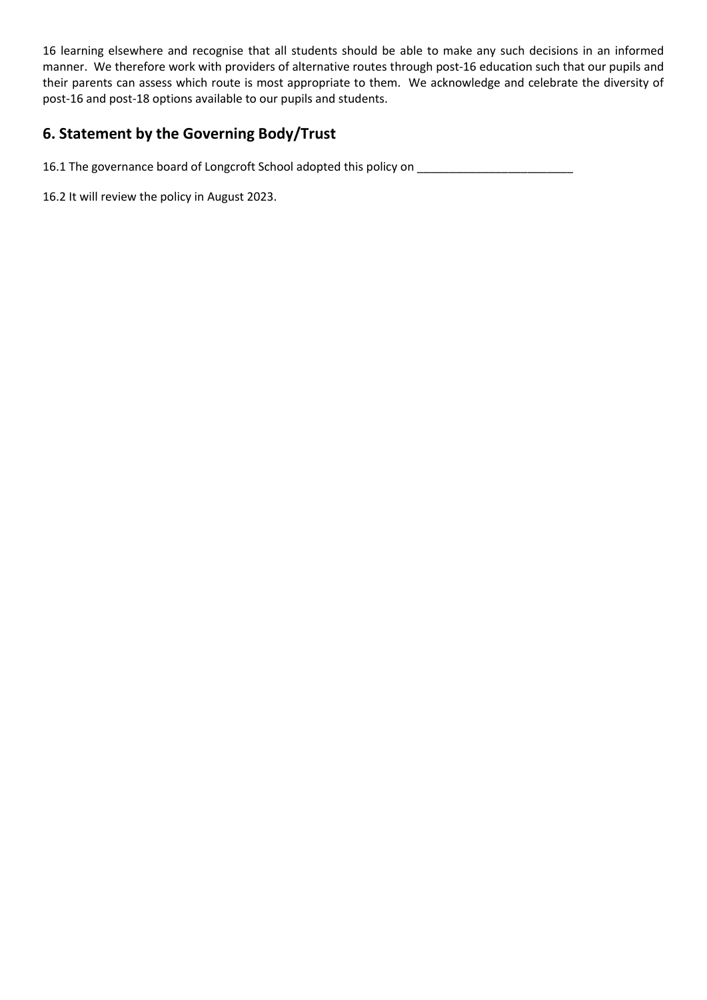16 learning elsewhere and recognise that all students should be able to make any such decisions in an informed manner. We therefore work with providers of alternative routes through post-16 education such that our pupils and their parents can assess which route is most appropriate to them. We acknowledge and celebrate the diversity of post-16 and post-18 options available to our pupils and students.

# **6. Statement by the Governing Body/Trust**

16.1 The governance board of Longcroft School adopted this policy on \_\_\_\_\_\_\_\_\_\_\_\_\_\_\_\_\_\_\_\_\_\_\_\_

16.2 It will review the policy in August 2023.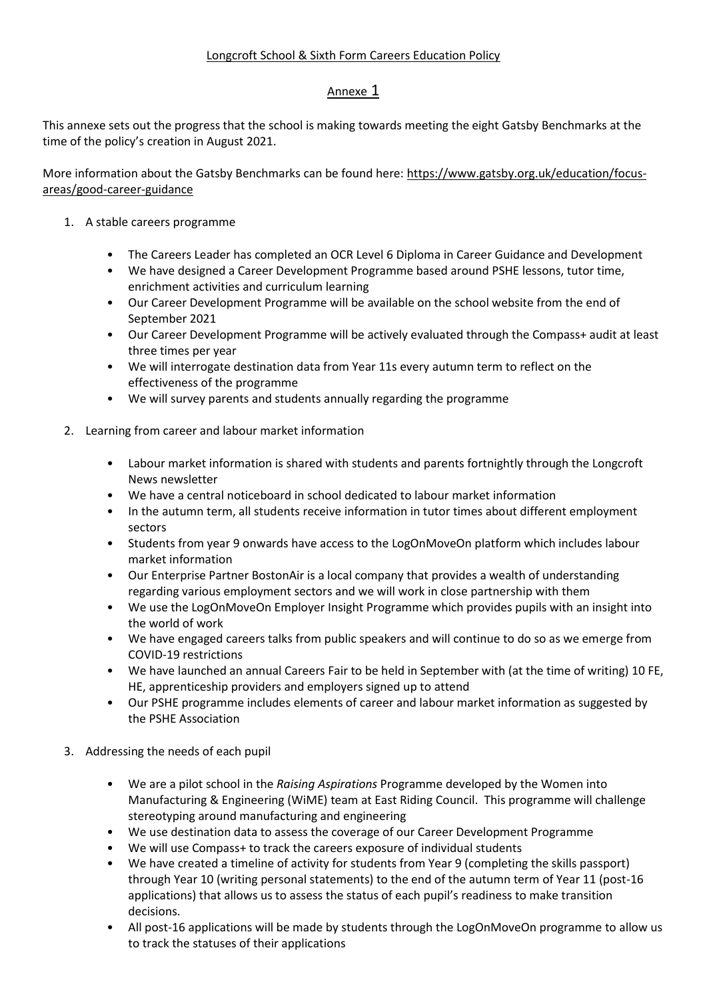#### Longcroft School & Sixth Form Careers Education Policy

#### Annexe 1

This annexe sets out the progress that the school is making towards meeting the eight Gatsby Benchmarks at the time of the policy's creation in August 2021.

More information about the Gatsby Benchmarks can be found here[: https://www.gatsby.org.uk/education/focus](https://www.gatsby.org.uk/education/focus-areas/good-career-guidance)[areas/good-career-guidance](https://www.gatsby.org.uk/education/focus-areas/good-career-guidance)

- 1. A stable careers programme
	- The Careers Leader has completed an OCR Level 6 Diploma in Career Guidance and Development
	- We have designed a Career Development Programme based around PSHE lessons, tutor time, enrichment activities and curriculum learning
	- Our Career Development Programme will be available on the school website from the end of September 2021
	- Our Career Development Programme will be actively evaluated through the Compass+ audit at least three times per year
	- We will interrogate destination data from Year 11s every autumn term to reflect on the effectiveness of the programme
	- We will survey parents and students annually regarding the programme
- 2. Learning from career and labour market information
	- Labour market information is shared with students and parents fortnightly through the Longcroft News newsletter
	- We have a central noticeboard in school dedicated to labour market information
	- In the autumn term, all students receive information in tutor times about different employment sectors
	- Students from year 9 onwards have access to the LogOnMoveOn platform which includes labour market information
	- Our Enterprise Partner BostonAir is a local company that provides a wealth of understanding regarding various employment sectors and we will work in close partnership with them
	- We use the LogOnMoveOn Employer Insight Programme which provides pupils with an insight into the world of work
	- We have engaged careers talks from public speakers and will continue to do so as we emerge from COVID-19 restrictions
	- We have launched an annual Careers Fair to be held in September with (at the time of writing) 10 FE, HE, apprenticeship providers and employers signed up to attend
	- Our PSHE programme includes elements of career and labour market information as suggested by the PSHE Association
- 3. Addressing the needs of each pupil
	- We are a pilot school in the *Raising Aspirations* Programme developed by the Women into Manufacturing & Engineering (WiME) team at East Riding Council. This programme will challenge stereotyping around manufacturing and engineering
	- We use destination data to assess the coverage of our Career Development Programme
	- We will use Compass+ to track the careers exposure of individual students
	- We have created a timeline of activity for students from Year 9 (completing the skills passport) through Year 10 (writing personal statements) to the end of the autumn term of Year 11 (post-16 applications) that allows us to assess the status of each pupil's readiness to make transition decisions.
	- All post-16 applications will be made by students through the LogOnMoveOn programme to allow us to track the statuses of their applications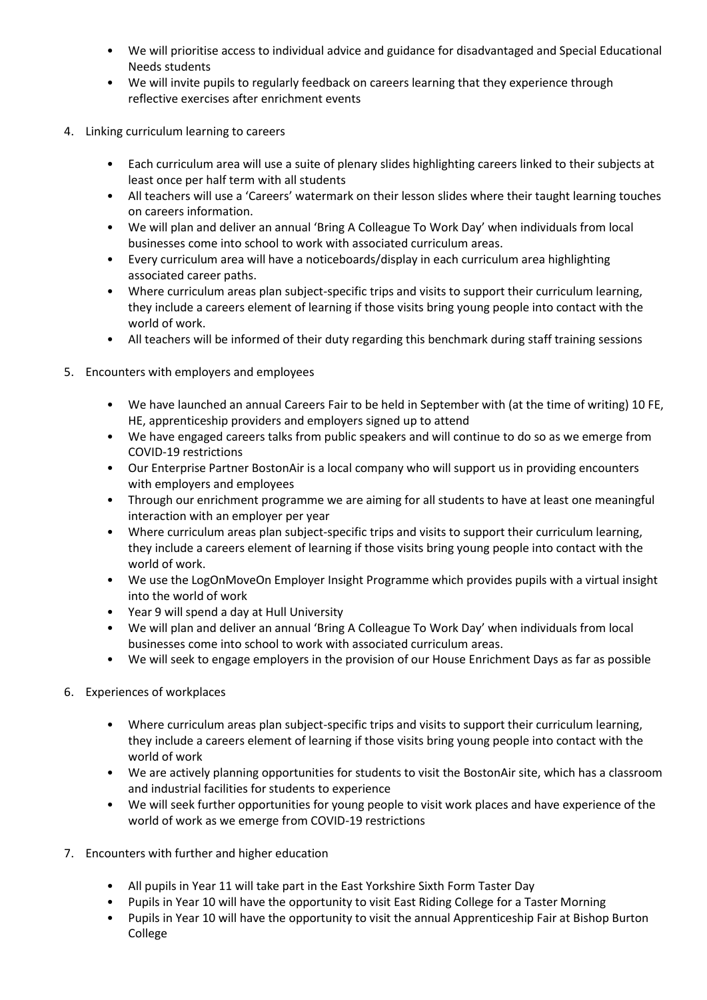- We will prioritise access to individual advice and guidance for disadvantaged and Special Educational Needs students
- We will invite pupils to regularly feedback on careers learning that they experience through reflective exercises after enrichment events
- 4. Linking curriculum learning to careers
	- Each curriculum area will use a suite of plenary slides highlighting careers linked to their subjects at least once per half term with all students
	- All teachers will use a 'Careers' watermark on their lesson slides where their taught learning touches on careers information.
	- We will plan and deliver an annual 'Bring A Colleague To Work Day' when individuals from local businesses come into school to work with associated curriculum areas.
	- Every curriculum area will have a noticeboards/display in each curriculum area highlighting associated career paths.
	- Where curriculum areas plan subject-specific trips and visits to support their curriculum learning, they include a careers element of learning if those visits bring young people into contact with the world of work.
	- All teachers will be informed of their duty regarding this benchmark during staff training sessions
- 5. Encounters with employers and employees
	- We have launched an annual Careers Fair to be held in September with (at the time of writing) 10 FE, HE, apprenticeship providers and employers signed up to attend
	- We have engaged careers talks from public speakers and will continue to do so as we emerge from COVID-19 restrictions
	- Our Enterprise Partner BostonAir is a local company who will support us in providing encounters with employers and employees
	- Through our enrichment programme we are aiming for all students to have at least one meaningful interaction with an employer per year
	- Where curriculum areas plan subject-specific trips and visits to support their curriculum learning, they include a careers element of learning if those visits bring young people into contact with the world of work.
	- We use the LogOnMoveOn Employer Insight Programme which provides pupils with a virtual insight into the world of work
	- Year 9 will spend a day at Hull University
	- We will plan and deliver an annual 'Bring A Colleague To Work Day' when individuals from local businesses come into school to work with associated curriculum areas.
	- We will seek to engage employers in the provision of our House Enrichment Days as far as possible
- 6. Experiences of workplaces
	- Where curriculum areas plan subject-specific trips and visits to support their curriculum learning, they include a careers element of learning if those visits bring young people into contact with the world of work
	- We are actively planning opportunities for students to visit the BostonAir site, which has a classroom and industrial facilities for students to experience
	- We will seek further opportunities for young people to visit work places and have experience of the world of work as we emerge from COVID-19 restrictions
- 7. Encounters with further and higher education
	- All pupils in Year 11 will take part in the East Yorkshire Sixth Form Taster Day
	- Pupils in Year 10 will have the opportunity to visit East Riding College for a Taster Morning
	- Pupils in Year 10 will have the opportunity to visit the annual Apprenticeship Fair at Bishop Burton College